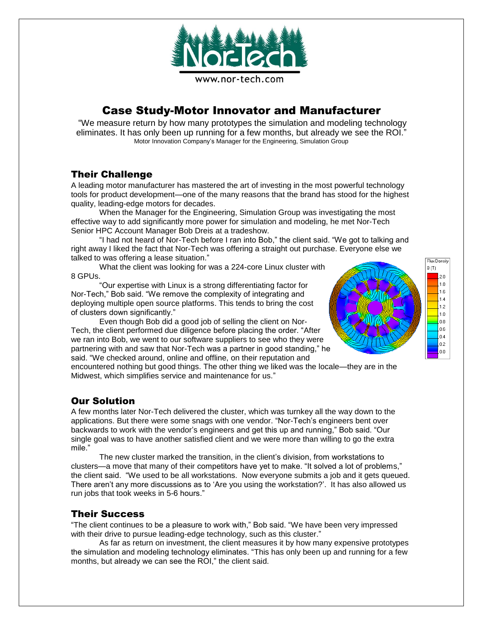

# Case Study-Motor Innovator and Manufacturer

"We measure return by how many prototypes the simulation and modeling technology eliminates. It has only been up running for a few months, but already we see the ROI." Motor Innovation Company's Manager for the Engineering, Simulation Group

## Their Challenge

A leading motor manufacturer has mastered the art of investing in the most powerful technology tools for product development—one of the many reasons that the brand has stood for the highest quality, leading-edge motors for decades.

When the Manager for the Engineering, Simulation Group was investigating the most effective way to add significantly more power for simulation and modeling, he met Nor-Tech Senior HPC Account Manager Bob Dreis at a tradeshow.

"I had not heard of Nor-Tech before I ran into Bob," the client said. "We got to talking and right away I liked the fact that Nor-Tech was offering a straight out purchase. Everyone else we talked to was offering a lease situation."

What the client was looking for was a 224-core Linux cluster with 8 GPUs.

"Our expertise with Linux is a strong differentiating factor for Nor-Tech," Bob said. "We remove the complexity of integrating and deploying multiple open source platforms. This tends to bring the cost of clusters down significantly."

Even though Bob did a good job of selling the client on Nor-Tech, the client performed due diligence before placing the order. "After we ran into Bob, we went to our software suppliers to see who they were partnering with and saw that Nor-Tech was a partner in good standing," he said. "We checked around, online and offline, on their reputation and





encountered nothing but good things. The other thing we liked was the locale—they are in the Midwest, which simplifies service and maintenance for us."

## Our Solution

A few months later Nor-Tech delivered the cluster, which was turnkey all the way down to the applications. But there were some snags with one vendor. "Nor-Tech's engineers bent over backwards to work with the vendor's engineers and get this up and running," Bob said. "Our single goal was to have another satisfied client and we were more than willing to go the extra mile."

The new cluster marked the transition, in the client's division, from workstations to clusters—a move that many of their competitors have yet to make. "It solved a lot of problems," the client said. "We used to be all workstations. Now everyone submits a job and it gets queued. There aren't any more discussions as to 'Are you using the workstation?'. It has also allowed us run jobs that took weeks in 5-6 hours."

## Their Success

"The client continues to be a pleasure to work with," Bob said. "We have been very impressed with their drive to pursue leading-edge technology, such as this cluster."

As far as return on investment, the client measures it by how many expensive prototypes the simulation and modeling technology eliminates. "This has only been up and running for a few months, but already we can see the ROI," the client said.